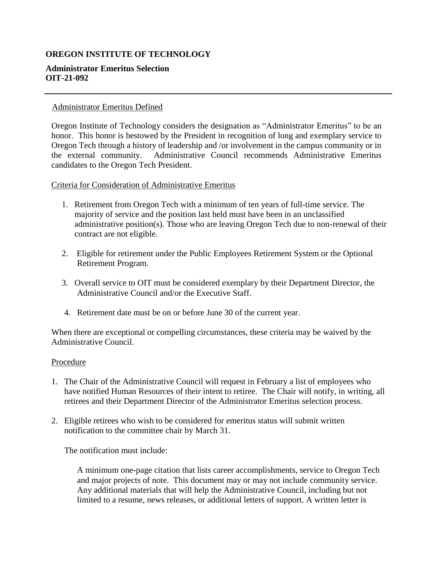# **OREGON INSTITUTE OF TECHNOLOGY**

## **Administrator Emeritus Selection OIT-21-092**

### Administrator Emeritus Defined

Oregon Institute of Technology considers the designation as "Administrator Emeritus" to be an honor. This honor is bestowed by the President in recognition of long and exemplary service to Oregon Tech through a history of leadership and /or involvement in the campus community or in the external community. Administrative Council recommends Administrative Emeritus candidates to the Oregon Tech President.

Criteria for Consideration of Administrative Emeritus

- 1. Retirement from Oregon Tech with a minimum of ten years of full-time service. The majority of service and the position last held must have been in an unclassified administrative position(s). Those who are leaving Oregon Tech due to non-renewal of their contract are not eligible.
- 2. Eligible for retirement under the Public Employees Retirement System or the Optional Retirement Program.
- 3. Overall service to OIT must be considered exemplary by their Department Director, the Administrative Council and/or the Executive Staff.
- 4. Retirement date must be on or before June 30 of the current year.

When there are exceptional or compelling circumstances, these criteria may be waived by the Administrative Council.

#### **Procedure**

- 1. The Chair of the Administrative Council will request in February a list of employees who have notified Human Resources of their intent to retiree. The Chair will notify, in writing, all retirees and their Department Director of the Administrator Emeritus selection process.
- 2. Eligible retirees who wish to be considered for emeritus status will submit written notification to the committee chair by March 31.

The notification must include:

A minimum one-page citation that lists career accomplishments, service to Oregon Tech and major projects of note. This document may or may not include community service. Any additional materials that will help the Administrative Council, including but not limited to a resume, news releases, or additional letters of support. A written letter is